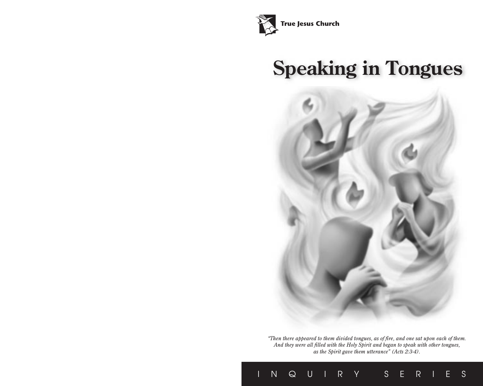

# **Speaking in Tongues**



*"Then there appeared to them divided tongues, as of fire, and one sat upon each of them. And they were all filled with the Holy Spirit and began to speak with other tongues, as the Spirit gave them utterance" (Acts 2:3-4).*

INQUIRY SERIES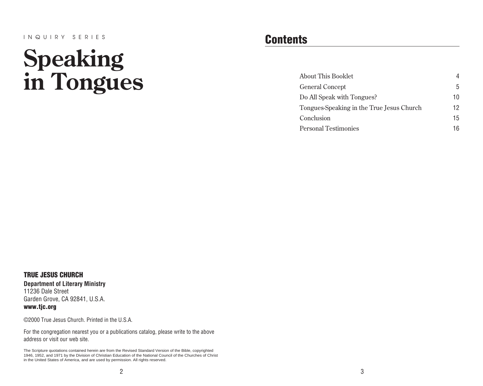#### INQUIRY SERIES

# **Speaking in Tongues**

### **Contents**

| About This Booklet                        | 4   |
|-------------------------------------------|-----|
| <b>General Concept</b>                    | 5   |
| Do All Speak with Tongues?                | 10  |
| Tongues-Speaking in the True Jesus Church | 12. |
| Conclusion                                | 15  |
| <b>Personal Testimonies</b>               | 16  |

TRUE JESUS CHURCH **Department of Literary Ministry** 11236 Dale Street Garden Grove, CA 92841, U.S.A. www.tjc.org

©2000 True Jesus Church. Printed in the U.S.A.

For the congregation nearest you or a publications catalog, please write to the above address or visit our web site.

The Scripture quotations contained herein are from the Revised Standard Version of the Bible, copyrighted 1946, 1952, and 1971 by the Division of Christian Education of the National Council of the Churches of Christ in the United States of America, and are used by permission. All rights reserved.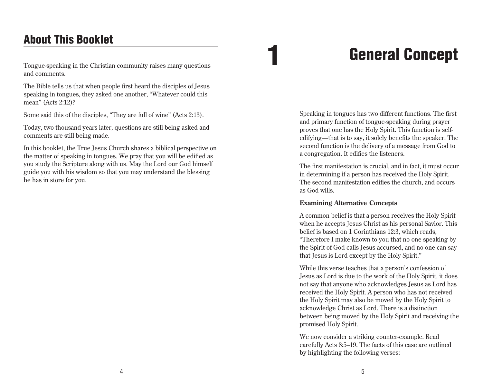### General Concept

### <span id="page-2-0"></span>About This Booklet

Tongue-speaking in the Christian community raises many questions and comments.

The Bible tells us that when people first heard the disciples of Jesus speaking in tongues, they asked one another, "Whatever could this mean" (Acts 2:12)?

Some said this of the disciples, "They are full of wine" (Acts 2:13).

Today, two thousand years later, questions are still being asked and comments are still being made.

In this booklet, the True Jesus Church shares a biblical perspective on the matter of speaking in tongues. We pray that you will be edified as you study the Scripture along with us. May the Lord our God himself guide you with his wisdom so that you may understand the blessing he has in store for you.

Speaking in tongues has two different functions. The first and primary function of tongue-speaking during prayer proves that one has the Holy Spirit. This function is selfedifying—that is to say, it solely benefits the speaker. The second function is the delivery of a message from God to a congregation. It edifies the listeners.

The first manifestation is crucial, and in fact, it must occur in determining if a person has received the Holy Spirit. The second manifestation edifies the church, and occurs as God wills.

### **Examining Alternative Concepts**

A common belief is that a person receives the Holy Spirit when he accepts Jesus Christ as his personal Savior. This belief is based on 1 Corinthians 12:3, which reads, "Therefore I make known to you that no one speaking by the Spirit of God calls Jesus accursed, and no one can say that Jesus is Lord except by the Holy Spirit."

While this verse teaches that a person's confession of Jesus as Lord is due to the work of the Holy Spirit, it does not say that anyone who acknowledges Jesus as Lord has received the Holy Spirit. A person who has not received the Holy Spirit may also be moved by the Holy Spirit to acknowledge Christ as Lord. There is a distinction between being moved by the Holy Spirit and receiving the promised Holy Spirit.

We now consider a striking counter-example. Read carefully Acts 8:5–19. The facts of this case are outlined by highlighting the following verses: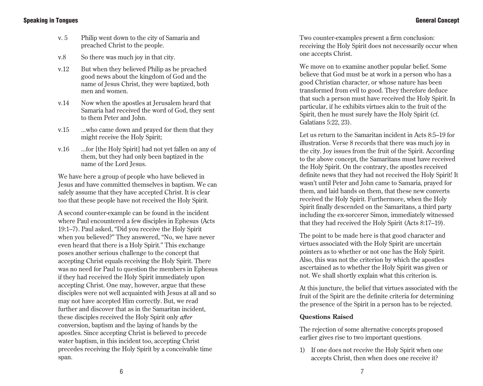- v. 5 Philip went down to the city of Samaria and preached Christ to the people.
- v.8 So there was much joy in that city.
- v.12 But when they believed Philip as he preached good news about the kingdom of God and the name of Jesus Christ, they were baptized, both men and women.
- v.14 Now when the apostles at Jerusalem heard that Samaria had received the word of God, they sent to them Peter and John.
- v.15 ...who came down and prayed for them that they might receive the Holy Spirit;
- v.16 ...for [the Holy Spirit] had not yet fallen on any of them, but they had only been baptized in the name of the Lord Jesus.

We have here a group of people who have believed in Jesus and have committed themselves in baptism. We can safely assume that they have accepted Christ. It is clear too that these people have not received the Holy Spirit.

A second counter-example can be found in the incident where Paul encountered a few disciples in Ephesus (Acts 19:1–7). Paul asked, "Did you receive the Holy Spirit when you believed?" They answered, "No, we have never even heard that there is a Holy Spirit." This exchange poses another serious challenge to the concept that accepting Christ equals receiving the Holy Spirit. There was no need for Paul to question the members in Ephesus if they had received the Holy Spirit immediately upon accepting Christ. One may, however, argue that these disciples were not well acquainted with Jesus at all and so may not have accepted Him correctly. But, we read further and discover that as in the Samaritan incident, these disciples received the Holy Spirit only *after* conversion, baptism and the laying of hands by the apostles. Since accepting Christ is believed to precede water baptism, in this incident too, accepting Christ precedes receiving the Holy Spirit by a conceivable time span.

Two counter-examples present a firm conclusion: receiving the Holy Spirit does not necessarily occur when one accepts Christ.

We move on to examine another popular belief. Some believe that God must be at work in a person who has a good Christian character, or whose nature has been transformed from evil to good. They therefore deduce that such a person must have received the Holy Spirit. In particular, if he exhibits virtues akin to the fruit of the Spirit, then he must surely have the Holy Spirit (cf. Galatians 5:22, 23).

Let us return to the Samaritan incident in Acts 8:5–19 for illustration. Verse 8 records that there was much joy in the city. Joy issues from the fruit of the Spirit. According to the above concept, the Samaritans must have received the Holy Spirit. On the contrary, the apostles received definite news that they had not received the Holy Spirit! It wasn't until Peter and John came to Samaria, prayed for them, and laid hands on them, that these new converts received the Holy Spirit. Furthermore, when the Holy Spirit finally descended on the Samaritans, a third party including the ex-sorcerer Simon, immediately witnessed that they had received the Holy Spirit (Acts 8:17–19).

The point to be made here is that good character and virtues associated with the Holy Spirit are uncertain pointers as to whether or not one has the Holy Spirit. Also, this was not the criterion by which the apostles ascertained as to whether the Holy Spirit was given or not. We shall shortly explain what this criterion is.

At this juncture, the belief that virtues associated with the fruit of the Spirit are the definite criteria for determining the presence of the Spirit in a person has to be rejected.

### **Questions Raised**

The rejection of some alternative concepts proposed earlier gives rise to two important questions.

1) If one does not receive the Holy Spirit when one accepts Christ, then when does one receive it?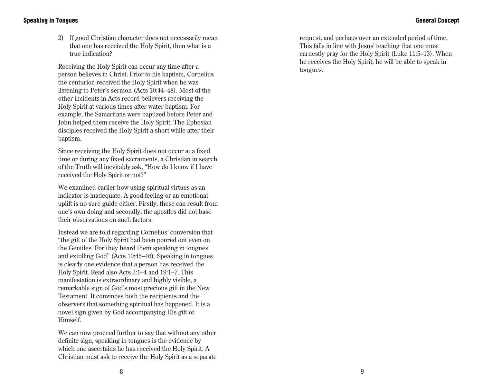### General Concept

### Speaking in Tongues

2) If good Christian character does not necessarily mean that one has received the Holy Spirit, then what is a true indication?

Receiving the Holy Spirit can occur any time after a person believes in Christ. Prior to his baptism, Cornelius the centurion received the Holy Spirit when he was listening to Peter's sermon (Acts 10:44–48). Most of the other incidents in Acts record believers receiving the Holy Spirit at various times after water baptism. For example, the Samaritans were baptized before Peter and John helped them receive the Holy Spirit. The Ephesian disciples received the Holy Spirit a short while after their baptism.

Since receiving the Holy Spirit does not occur at a fixed time or during any fixed sacraments, a Christian in search of the Truth will inevitably ask, "How do I know if I have received the Holy Spirit or not?"

We examined earlier how using spiritual virtues as an indicator is inadequate. A good feeling or an emotional uplift is no sure guide either. Firstly, these can result from one's own doing and secondly, the apostles did not base their observations on such factors.

Instead we are told regarding Cornelius' conversion that "the gift of the Holy Spirit had been poured out even on the Gentiles. For they heard them speaking in tongues and extolling God" (Acts 10:45–46). Speaking in tongues is clearly one evidence that a person has received the Holy Spirit. Read also Acts 2:1–4 and 19:1–7. This manifestation is extraordinary and highly visible, a remarkable sign of God's most precious gift in the New Testament. It convinces both the recipients and the observers that something spiritual has happened. It is a novel sign given by God accompanying His gift of Himself.

We can now proceed further to say that without any other definite sign, speaking in tongues is the evidence by which one ascertains he has received the Holy Spirit. A Christian must ask to receive the Holy Spirit as a separate request, and perhaps over an extended period of time. This falls in line with Jesus' teaching that one must earnestly pray for the Holy Spirit (Luke 11:5–13). When he receives the Holy Spirit, he will be able to speak in tongues.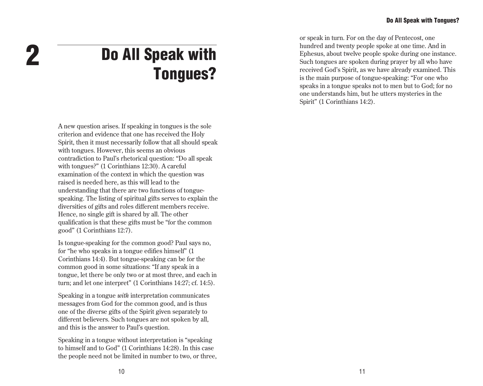Do All Speak with Tongues?

<span id="page-5-0"></span>2

A new question arises. If speaking in tongues is the sole criterion and evidence that one has received the Holy Spirit, then it must necessarily follow that all should speak with tongues. However, this seems an obvious contradiction to Paul's rhetorical question: "Do all speak with tongues?" (1 Corinthians 12:30). A careful examination of the context in which the question was raised is needed here, as this will lead to the understanding that there are two functions of tonguespeaking. The listing of spiritual gifts serves to explain the diversities of gifts and roles different members receive. Hence, no single gift is shared by all. The other qualification is that these gifts must be "for the common good" (1 Corinthians 12:7).

Is tongue-speaking for the common good? Paul says no, for "he who speaks in a tongue edifies himself" (1 Corinthians 14:4). But tongue-speaking can be for the common good in some situations: "If any speak in a tongue, let there be only two or at most three, and each in turn; and let one interpret" (1 Corinthians 14:27; cf. 14:5).

Speaking in a tongue *with* interpretation communicates messages from God for the common good, and is thus one of the diverse gifts of the Spirit given separately to different believers. Such tongues are not spoken by all, and this is the answer to Paul's question.

Speaking in a tongue without interpretation is "speaking to himself and to God" (1 Corinthians 14:28). In this case the people need not be limited in number to two, or three, or speak in turn. For on the day of Pentecost, one hundred and twenty people spoke at one time. And in Ephesus, about twelve people spoke during one instance. Such tongues are spoken during prayer by all who have received God's Spirit, as we have already examined. This is the main purpose of tongue-speaking: "For one who speaks in a tongue speaks not to men but to God; for no one understands him, but he utters mysteries in the Spirit" (1 Corinthians 14:2).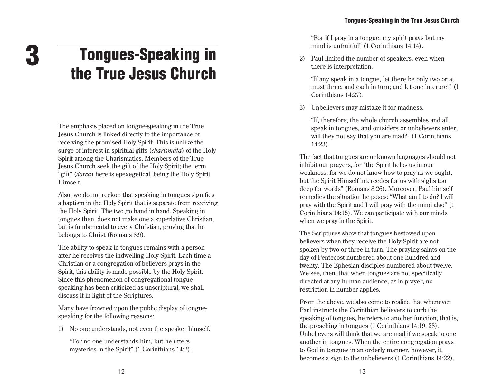## <span id="page-6-0"></span>Tongues-Speaking in the True Jesus Church

The emphasis placed on tongue-speaking in the True Jesus Church is linked directly to the importance of receiving the promised Holy Spirit. This is unlike the surge of interest in spiritual gifts (*charismata*) of the Holy Spirit among the Charismatics. Members of the True Jesus Church seek the gift of the Holy Spirit; the term "gift" (*dorea*) here is epexegetical, being the Holy Spirit Himself.

Also, we do not reckon that speaking in tongues signifies a baptism in the Holy Spirit that is separate from receiving the Holy Spirit. The two go hand in hand. Speaking in tongues then, does not make one a superlative Christian, but is fundamental to every Christian, proving that he belongs to Christ (Romans 8:9).

The ability to speak in tongues remains with a person after he receives the indwelling Holy Spirit. Each time a Christian or a congregation of believers prays in the Spirit, this ability is made possible by the Holy Spirit. Since this phenomenon of congregational tonguespeaking has been criticized as unscriptural, we shall discuss it in light of the Scriptures.

Many have frowned upon the public display of tonguespeaking for the following reasons:

1) No one understands, not even the speaker himself.

"For no one understands him, but he utters mysteries in the Spirit" (1 Corinthians 14:2). "For if I pray in a tongue, my spirit prays but my mind is unfruitful" (1 Corinthians 14:14).

2) Paul limited the number of speakers, even when there is interpretation.

"If any speak in a tongue, let there be only two or at most three, and each in turn; and let one interpret" (1 Corinthians 14:27).

3) Unbelievers may mistake it for madness.

"If, therefore, the whole church assembles and all speak in tongues, and outsiders or unbelievers enter, will they not say that you are mad?" (1 Corinthians 14:23).

The fact that tongues are unknown languages should not inhibit our prayers, for "the Spirit helps us in our weakness; for we do not know how to pray as we ought, but the Spirit Himself intercedes for us with sighs too deep for words" (Romans 8:26). Moreover, Paul himself remedies the situation he poses: "What am I to do? I will pray with the Spirit and I will pray with the mind also" (1 Corinthians 14:15). We can participate with our minds when we pray in the Spirit.

The Scriptures show that tongues bestowed upon believers when they receive the Holy Spirit are not spoken by two or three in turn. The praying saints on the day of Pentecost numbered about one hundred and twenty. The Ephesian disciples numbered about twelve. We see, then, that when tongues are not specifically directed at any human audience, as in prayer, no restriction in number applies.

From the above, we also come to realize that whenever Paul instructs the Corinthian believers to curb the speaking of tongues, he refers to another function, that is, the preaching in tongues (1 Corinthians 14:19, 28). Unbelievers will think that we are mad if we speak to one another in tongues. When the entire congregation prays to God in tongues in an orderly manner, however, it becomes a sign to the unbelievers (1 Corinthians 14:22).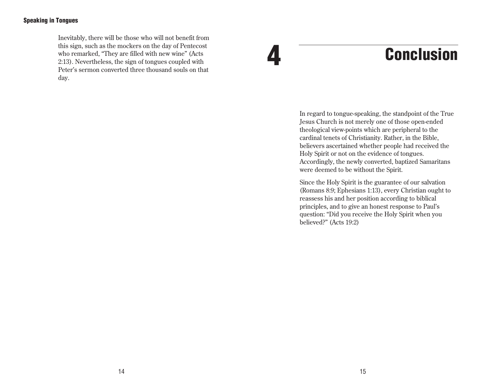### <span id="page-7-0"></span>Speaking in Tongues

Inevitably, there will be those who will not benefit from this sign, such as the mockers on the day of Pentecost who remarked, "They are filled with new wine" (Acts 2:13). Nevertheless, the sign of tongues coupled with Peter's sermon converted three thousand souls on that day.

### **Conclusion**

In regard to tongue-speaking, the standpoint of the True Jesus Church is not merely one of those open-ended theological view-points which are peripheral to the cardinal tenets of Christianity. Rather, in the Bible, believers ascertained whether people had received the Holy Spirit or not on the evidence of tongues. Accordingly, the newly converted, baptized Samaritans were deemed to be without the Spirit.

Since the Holy Spirit is the guarantee of our salvation (Romans 8:9; Ephesians 1:13), every Christian ought to reassess his and her position according to biblical principles, and to give an honest response to Paul's question: "Did you receive the Holy Spirit when you believed?" (Acts 19:2)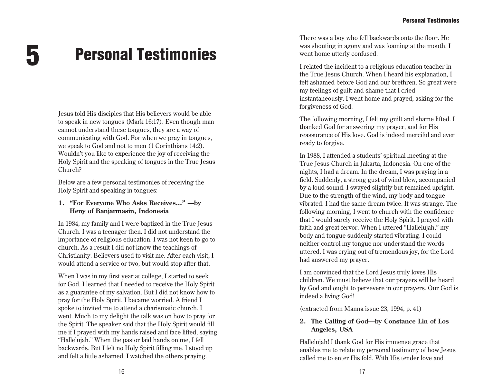### <span id="page-8-0"></span>5 Personal Testimonies

Jesus told His disciples that His believers would be able to speak in new tongues (Mark 16:17). Even though man cannot understand these tongues, they are a way of communicating with God. For when we pray in tongues, we speak to God and not to men (1 Corinthians 14:2). Wouldn't you like to experience the joy of receiving the Holy Spirit and the speaking of tongues in the True Jesus Church?

Below are a few personal testimonies of receiving the Holy Spirit and speaking in tongues:

### **1. "For Everyone Who Asks Receives..." —by Heny of Banjarmasin, Indonesia**

In 1984, my family and I were baptized in the True Jesus Church. I was a teenager then. I did not understand the importance of religious education. I was not keen to go to church. As a result I did not know the teachings of Christianity. Believers used to visit me. After each visit, I would attend a service or two, but would stop after that.

When I was in my first year at college, I started to seek for God. I learned that I needed to receive the Holy Spirit as a guarantee of my salvation. But I did not know how to pray for the Holy Spirit. I became worried. A friend I spoke to invited me to attend a charismatic church. I went. Much to my delight the talk was on how to pray for the Spirit. The speaker said that the Holy Spirit would fill me if I prayed with my hands raised and face lifted, saying "Hallelujah." When the pastor laid hands on me, I fell backwards. But I felt no Holy Spirit filling me. I stood up and felt a little ashamed. I watched the others praying.

There was a boy who fell backwards onto the floor. He was shouting in agony and was foaming at the mouth. I went home utterly confused.

I related the incident to a religious education teacher in the True Jesus Church. When I heard his explanation, I felt ashamed before God and our brethren. So great were my feelings of guilt and shame that I cried instantaneously. I went home and prayed, asking for the forgiveness of God.

The following morning, I felt my guilt and shame lifted. I thanked God for answering my prayer, and for His reassurance of His love. God is indeed merciful and ever ready to forgive.

In 1988, I attended a students' spiritual meeting at the True Jesus Church in Jakarta, Indonesia. On one of the nights, I had a dream. In the dream, I was praying in a field. Suddenly, a strong gust of wind blew, accompanied by a loud sound. I swayed slightly but remained upright. Due to the strength of the wind, my body and tongue vibrated. I had the same dream twice. It was strange. The following morning, I went to church with the confidence that I would surely receive the Holy Spirit. I prayed with faith and great fervor. When I uttered "Hallelujah," my body and tongue suddenly started vibrating. I could neither control my tongue nor understand the words uttered. I was crying out of tremendous joy, for the Lord had answered my prayer.

I am convinced that the Lord Jesus truly loves His children. We must believe that our prayers will be heard by God and ought to persevere in our prayers. Our God is indeed a living God!

(extracted from Manna issue 23, 1994, p. 41)

### **2. The Calling of God—by Constance Lin of Los Angeles, USA**

Hallelujah! I thank God for His immense grace that enables me to relate my personal testimony of how Jesus called me to enter His fold. With His tender love and